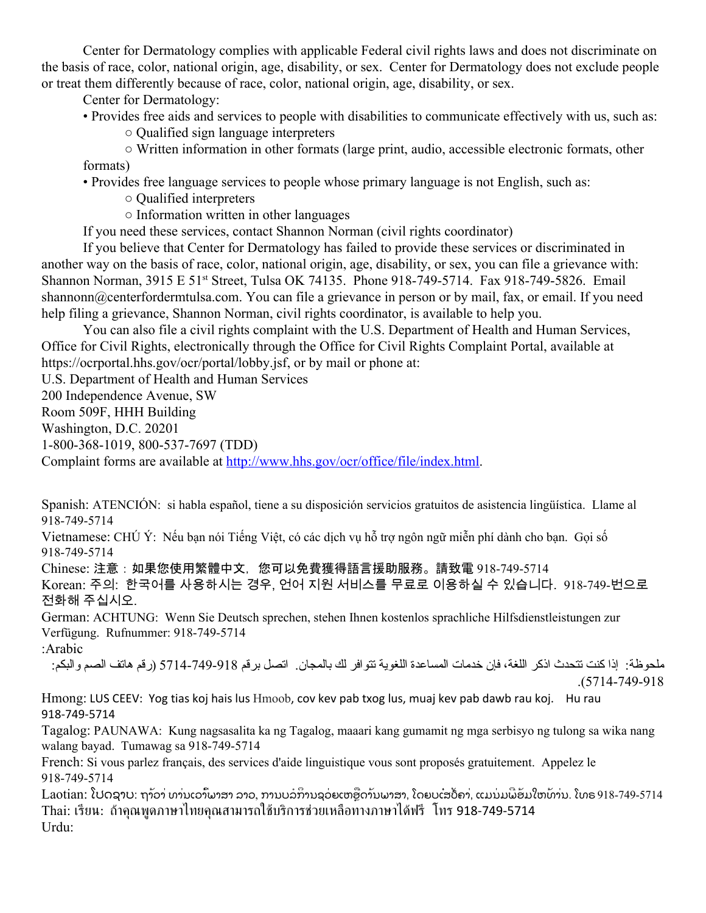Center for Dermatology complies with applicable Federal civil rights laws and does not discriminate on the basis of race, color, national origin, age, disability, or sex. Center for Dermatology does not exclude people or treat them differently because of race, color, national origin, age, disability, or sex.

Center for Dermatology:

- Provides free aids and services to people with disabilities to communicate effectively with us, such as:
	- Qualified sign language interpreters

○ Written information in other formats (large print, audio, accessible electronic formats, other formats)

• Provides free language services to people whose primary language is not English, such as:

○ Qualified interpreters

○ Information written in other languages

If you need these services, contact Shannon Norman (civil rights coordinator)

If you believe that Center for Dermatology has failed to provide these services or discriminated in another way on the basis of race, color, national origin, age, disability, or sex, you can file a grievance with: Shannon Norman, 3915 E 51<sup>st</sup> Street, Tulsa OK 74135. Phone 918-749-5714. Fax 918-749-5826. Email shannonn@centerfordermtulsa.com. You can file a grievance in person or by mail, fax, or email. If you need help filing a grievance, Shannon Norman, civil rights coordinator, is available to help you.

You can also file a civil rights complaint with the U.S. Department of Health and Human Services, Office for Civil Rights, electronically through the Office for Civil Rights Complaint Portal, available at https://ocrportal.hhs.gov/ocr/portal/lobby.jsf, or by mail or phone at:

U.S. Department of Health and Human Services

200 Independence Avenue, SW

Room 509F, HHH Building

Washington, D.C. 20201

1-800-368-1019, 800-537-7697 (TDD)

Complaint forms are available at [http://www.hhs.gov/ocr/office/file/index.html.](http://www.hhs.gov/ocr/office/file/index.html)

Spanish: ATENCIÓN: si habla español, tiene a su disposición servicios gratuitos de asistencia lingüística. Llame al 918-749-5714

Vietnamese: CHÚ Ý: Nếu bạn nói Tiếng Việt, có các dịch vụ hỗ trợ ngôn ngữ miễn phí dành cho bạn. Gọi số 918-749-5714

Chinese: 注意:如果您使用繁體中文,您可以免費獲得語言援助服務。請致電 918-749-5714 Korean: 주의: 한국어를 사용하시는 경우, 언어 지원 서비스를 무료로 이용하실 수 있습니다. 918-749-번으로 전화해 주십시오.

German: ACHTUNG: Wenn Sie Deutsch sprechen, stehen Ihnen kostenlos sprachliche Hilfsdienstleistungen zur Verfügung. Rufnummer: 918-749-5714 :Arabic

ملحوظة: إذا كنت تتحدث اذكر اللغة، فإن خدمات المساعدة اللغویة تتوافر لك بالمجان. اتصل برقم 5714-749-918 (رقم هاتف الصم والبكم: .(5714-749-918

Hmong: LUS CEEV: Yog tias koj hais lus Hmoob, cov kev pab txog lus, muaj kev pab dawb rau koj. Hu rau 918-749-5714

Tagalog: PAUNAWA: Kung nagsasalita ka ng Tagalog, maaari kang gumamit ng mga serbisyo ng tulong sa wika nang walang bayad. Tumawag sa 918-749-5714

French: Si vous parlez français, des services d'aide linguistique vous sont proposés gratuitement. Appelez le 918-749-5714

Laotian: ໂປດຊາບ: ຖາ້ວາ່ ທາ່ນເວ<sup>ົ</sup>້າພາສາ ລາວ. ການບຸລິການຊຸວຍເຫຼືອດ້ານພາສາ. ໂດຍບຸເສຽຄາ, ແມນມພີອຸ້ມໃຫທາ່ນ. ໂທຣ 918-749-5714 Thai: เรียน: ถ้าคุณพูดภาษาไทยคุณสามารถใช้บริการช่วยเหลือทางภาษาได้ฟรี โทร 918-749-5714 Urdu: